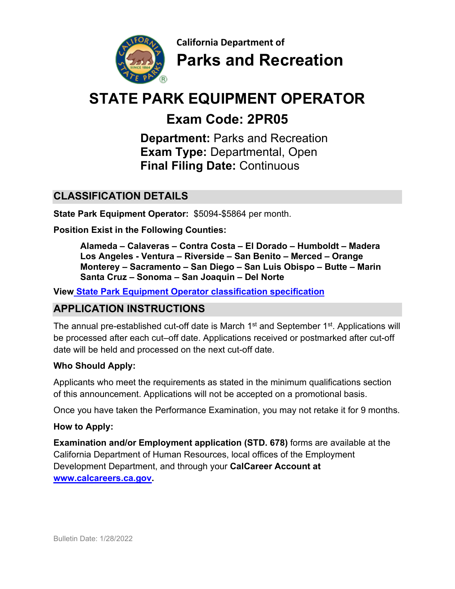

**California Department of Parks and Recreation**

# **STATE PARK EQUIPMENT OPERATOR**

## **Exam Code: 2PR05**

**Department:** Parks and Recreation  **Exam Type:** Departmental, Open **Final Filing Date:** Continuous

## **CLASSIFICATION DETAILS**

**State Park Equipment Operator:** \$5094-\$5864 per month.

**Position Exist in the Following Counties:** 

**Alameda – Calaveras – Contra Costa – El Dorado – Humboldt – Madera Los Angeles - Ventura – Riverside – San Benito – Merced – Orange Monterey – Sacramento – San Diego – San Luis Obispo – Butte – Marin Santa Cruz – Sonoma – San Joaquin – Del Norte**

**View [State Park Equipment Operator classification specification](https://www.calhr.ca.gov/state-hr-professionals/pages/6389.aspx)**

## **APPLICATION INSTRUCTIONS**

The annual pre-established cut-off date is March 1<sup>st</sup> and September 1<sup>st</sup>. Applications will be processed after each cut–off date. Applications received or postmarked after cut-off date will be held and processed on the next cut-off date.

#### **Who Should Apply:**

Applicants who meet the requirements as stated in the minimum qualifications section of this announcement. Applications will not be accepted on a promotional basis.

Once you have taken the Performance Examination, you may not retake it for 9 months.

#### **How to Apply:**

**Examination and/or Employment application (STD. 678)** forms are available at the California Department of Human Resources, local offices of the Employment Development Department, and through your **[CalCareer Account](http://www.jobs.ca.gov/) at [www.calcareers.ca.gov.](http://www.calcareers.ca.gov/)**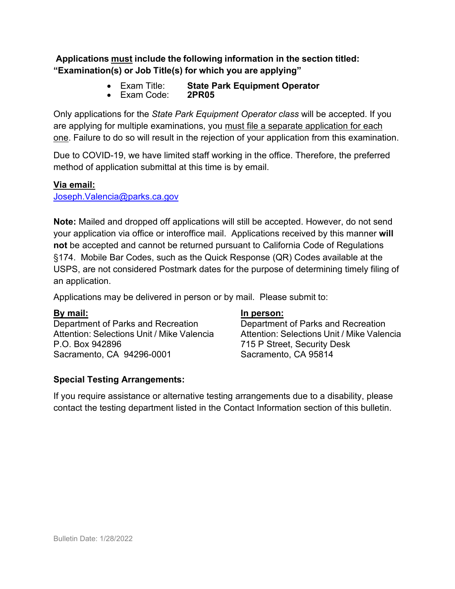**Applications must include the following information in the section titled: "Examination(s) or Job Title(s) for which you are applying"**

- Exam Title: **State Park Equipment Operator**
- Exam Code:

Only applications for the *State Park Equipment Operator class* will be accepted. If you are applying for multiple examinations, you must file a separate application for each one. Failure to do so will result in the rejection of your application from this examination.

Due to COVID-19, we have limited staff working in the office. Therefore, the preferred method of application submittal at this time is by email.

#### **Via email:**

[Joseph.Valencia@parks.ca.gov](mailto:Joseph.Valencia@parks.ca.gov) 

**Note:** Mailed and dropped off applications will still be accepted. However, do not send your application via office or interoffice mail. Applications received by this manner **will not** be accepted and cannot be returned pursuant to California Code of Regulations §174. Mobile Bar Codes, such as the Quick Response (QR) Codes available at the USPS, are not considered Postmark dates for the purpose of determining timely filing of an application.

Applications may be delivered in person or by mail. Please submit to:

#### **By mail:**

Department of Parks and Recreation Attention: Selections Unit / Mike Valencia P.O. Box 942896 Sacramento, CA 94296-0001

#### **Special Testing Arrangements:**

#### **In person:**

Department of Parks and Recreation Attention: Selections Unit / Mike Valencia 715 P Street, Security Desk Sacramento, CA 95814

If you require assistance or alternative testing arrangements due to a disability, please contact the testing department listed in the Contact Information section of this bulletin.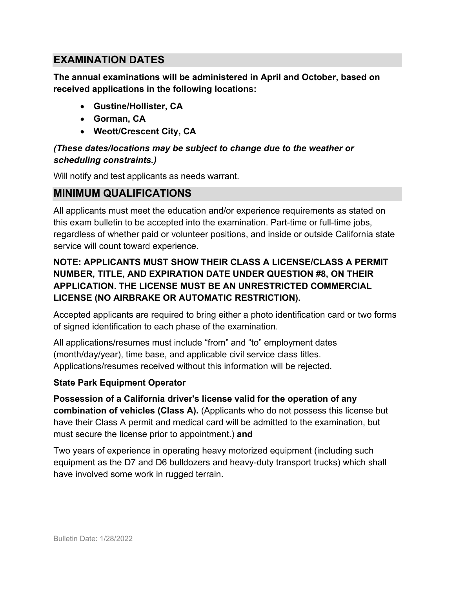## **EXAMINATION DATES**

**The annual examinations will be administered in April and October, based on received applications in the following locations:** 

- **Gustine/Hollister, CA**
- **Gorman, CA**
- **Weott/Crescent City, CA**

#### *(These dates/locations may be subject to change due to the weather or scheduling constraints.)*

Will notify and test applicants as needs warrant.

## **MINIMUM QUALIFICATIONS**

All applicants must meet the education and/or experience requirements as stated on this exam bulletin to be accepted into the examination. Part-time or full-time jobs, regardless of whether paid or volunteer positions, and inside or outside California state service will count toward experience.

#### **NOTE: APPLICANTS MUST SHOW THEIR CLASS A LICENSE/CLASS A PERMIT NUMBER, TITLE, AND EXPIRATION DATE UNDER QUESTION #8, ON THEIR APPLICATION. THE LICENSE MUST BE AN UNRESTRICTED COMMERCIAL LICENSE (NO AIRBRAKE OR AUTOMATIC RESTRICTION).**

Accepted applicants are required to bring either a photo identification card or two forms of signed identification to each phase of the examination.

All applications/resumes must include "from" and "to" employment dates (month/day/year), time base, and applicable civil service class titles. Applications/resumes received without this information will be rejected.

#### **State Park Equipment Operator**

**Possession of a California driver's license valid for the operation of any combination of vehicles (Class A).** (Applicants who do not possess this license but have their Class A permit and medical card will be admitted to the examination, but must secure the license prior to appointment.) **and** 

Two years of experience in operating heavy motorized equipment (including such equipment as the D7 and D6 bulldozers and heavy-duty transport trucks) which shall have involved some work in rugged terrain.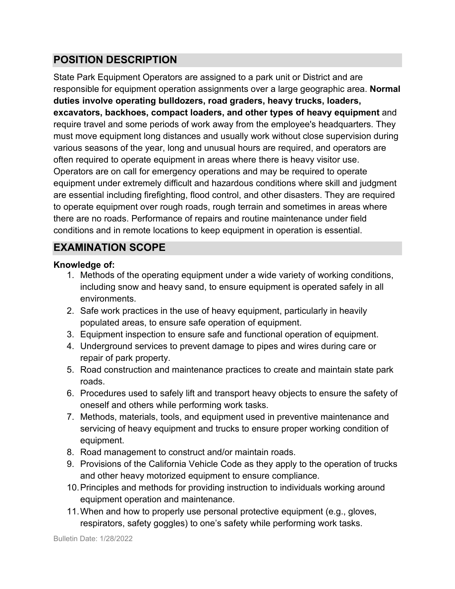## **POSITION DESCRIPTION**

State Park Equipment Operators are assigned to a park unit or District and are responsible for equipment operation assignments over a large geographic area. **Normal duties involve operating bulldozers, road graders, heavy trucks, loaders, excavators, backhoes, compact loaders, and other types of heavy equipment** and require travel and some periods of work away from the employee's headquarters. They must move equipment long distances and usually work without close supervision during various seasons of the year, long and unusual hours are required, and operators are often required to operate equipment in areas where there is heavy visitor use. Operators are on call for emergency operations and may be required to operate equipment under extremely difficult and hazardous conditions where skill and judgment are essential including firefighting, flood control, and other disasters. They are required to operate equipment over rough roads, rough terrain and sometimes in areas where there are no roads. Performance of repairs and routine maintenance under field conditions and in remote locations to keep equipment in operation is essential.

## **EXAMINATION SCOPE**

#### **Knowledge of:**

- 1. Methods of the operating equipment under a wide variety of working conditions, including snow and heavy sand, to ensure equipment is operated safely in all environments.
- 2. Safe work practices in the use of heavy equipment, particularly in heavily populated areas, to ensure safe operation of equipment.
- 3. Equipment inspection to ensure safe and functional operation of equipment.
- 4. Underground services to prevent damage to pipes and wires during care or repair of park property.
- 5. Road construction and maintenance practices to create and maintain state park roads.
- 6. Procedures used to safely lift and transport heavy objects to ensure the safety of oneself and others while performing work tasks.
- 7. Methods, materials, tools, and equipment used in preventive maintenance and servicing of heavy equipment and trucks to ensure proper working condition of equipment.
- 8. Road management to construct and/or maintain roads.
- 9. Provisions of the California Vehicle Code as they apply to the operation of trucks and other heavy motorized equipment to ensure compliance.
- 10.Principles and methods for providing instruction to individuals working around equipment operation and maintenance.
- 11.When and how to properly use personal protective equipment (e.g., gloves, respirators, safety goggles) to one's safety while performing work tasks.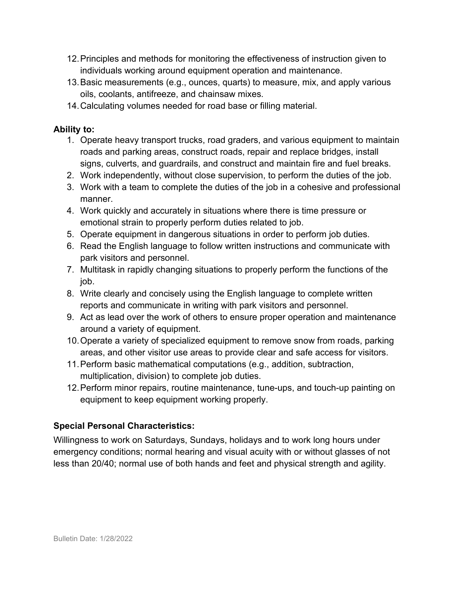- 12.Principles and methods for monitoring the effectiveness of instruction given to individuals working around equipment operation and maintenance.
- 13.Basic measurements (e.g., ounces, quarts) to measure, mix, and apply various oils, coolants, antifreeze, and chainsaw mixes.
- 14.Calculating volumes needed for road base or filling material.

#### **Ability to:**

- 1. Operate heavy transport trucks, road graders, and various equipment to maintain roads and parking areas, construct roads, repair and replace bridges, install signs, culverts, and guardrails, and construct and maintain fire and fuel breaks.
- 2. Work independently, without close supervision, to perform the duties of the job.
- 3. Work with a team to complete the duties of the job in a cohesive and professional manner.
- 4. Work quickly and accurately in situations where there is time pressure or emotional strain to properly perform duties related to job.
- 5. Operate equipment in dangerous situations in order to perform job duties.
- 6. Read the English language to follow written instructions and communicate with park visitors and personnel.
- 7. Multitask in rapidly changing situations to properly perform the functions of the job.
- 8. Write clearly and concisely using the English language to complete written reports and communicate in writing with park visitors and personnel.
- 9. Act as lead over the work of others to ensure proper operation and maintenance around a variety of equipment.
- 10.Operate a variety of specialized equipment to remove snow from roads, parking areas, and other visitor use areas to provide clear and safe access for visitors.
- 11.Perform basic mathematical computations (e.g., addition, subtraction, multiplication, division) to complete job duties.
- 12.Perform minor repairs, routine maintenance, tune-ups, and touch-up painting on equipment to keep equipment working properly.

#### **Special Personal Characteristics:**

Willingness to work on Saturdays, Sundays, holidays and to work long hours under emergency conditions; normal hearing and visual acuity with or without glasses of not less than 20/40; normal use of both hands and feet and physical strength and agility.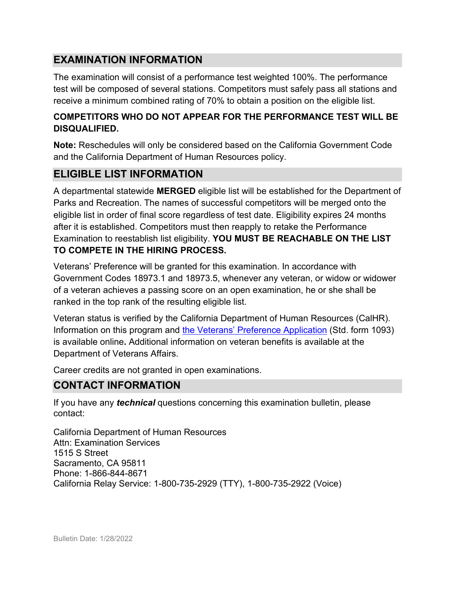## **EXAMINATION INFORMATION**

The examination will consist of a performance test weighted 100%. The performance test will be composed of several stations. Competitors must safely pass all stations and receive a minimum combined rating of 70% to obtain a position on the eligible list.

#### **COMPETITORS WHO DO NOT APPEAR FOR THE PERFORMANCE TEST WILL BE DISQUALIFIED.**

**Note:** Reschedules will only be considered based on the California Government Code and the California Department of Human Resources policy.

### **ELIGIBLE LIST INFORMATION**

A departmental statewide **MERGED** eligible list will be established for the Department of Parks and Recreation. The names of successful competitors will be merged onto the eligible list in order of final score regardless of test date. Eligibility expires 24 months after it is established. Competitors must then reapply to retake the Performance Examination to reestablish list eligibility. **YOU MUST BE REACHABLE ON THE LIST TO COMPETE IN THE HIRING PROCESS.**

Veterans' Preference will be granted for this examination. In accordance with Government Codes 18973.1 and 18973.5, whenever any veteran, or widow or widower of a veteran achieves a passing score on an open examination, he or she shall be ranked in the top rank of the resulting eligible list.

Veteran status is verified by the California Department of Human Resources (CalHR). Information on this program and [the Veterans' Preference Application](https://www.jobs.ca.gov/CalHRPublic/Landing/Jobs/VeteransInformation.aspx) (Std. form 1093) is available online**.** Additional information on veteran benefits is available at the Department of Veterans Affairs.

Career credits are not granted in open examinations.

#### **CONTACT INFORMATION**

If you have any *technical* questions concerning this examination bulletin, please contact:

California Department of Human Resources Attn: Examination Services 1515 S Street Sacramento, CA 95811 Phone: 1-866-844-8671 California Relay Service: 1-800-735-2929 (TTY), 1-800-735-2922 (Voice)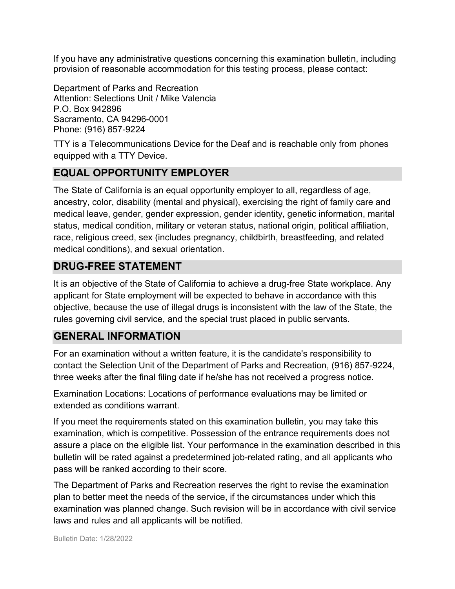If you have any administrative questions concerning this examination bulletin, including provision of reasonable accommodation for this testing process, please contact:

Department of Parks and Recreation Attention: Selections Unit / Mike Valencia P.O. Box 942896 Sacramento, CA 94296-0001 Phone: (916) 857-9224

TTY is a Telecommunications Device for the Deaf and is reachable only from phones equipped with a TTY Device.

## **EQUAL OPPORTUNITY EMPLOYER**

The State of California is an equal opportunity employer to all, regardless of age, ancestry, color, disability (mental and physical), exercising the right of family care and medical leave, gender, gender expression, gender identity, genetic information, marital status, medical condition, military or veteran status, national origin, political affiliation, race, religious creed, sex (includes pregnancy, childbirth, breastfeeding, and related medical conditions), and sexual orientation.

## **DRUG-FREE STATEMENT**

It is an objective of the State of California to achieve a drug-free State workplace. Any applicant for State employment will be expected to behave in accordance with this objective, because the use of illegal drugs is inconsistent with the law of the State, the rules governing civil service, and the special trust placed in public servants.

## **GENERAL INFORMATION**

For an examination without a written feature, it is the candidate's responsibility to contact the Selection Unit of the Department of Parks and Recreation, (916) 857-9224, three weeks after the final filing date if he/she has not received a progress notice.

Examination Locations: Locations of performance evaluations may be limited or extended as conditions warrant.

If you meet the requirements stated on this examination bulletin, you may take this examination, which is competitive. Possession of the entrance requirements does not assure a place on the eligible list. Your performance in the examination described in this bulletin will be rated against a predetermined job-related rating, and all applicants who pass will be ranked according to their score.

The Department of Parks and Recreation reserves the right to revise the examination plan to better meet the needs of the service, if the circumstances under which this examination was planned change. Such revision will be in accordance with civil service laws and rules and all applicants will be notified.